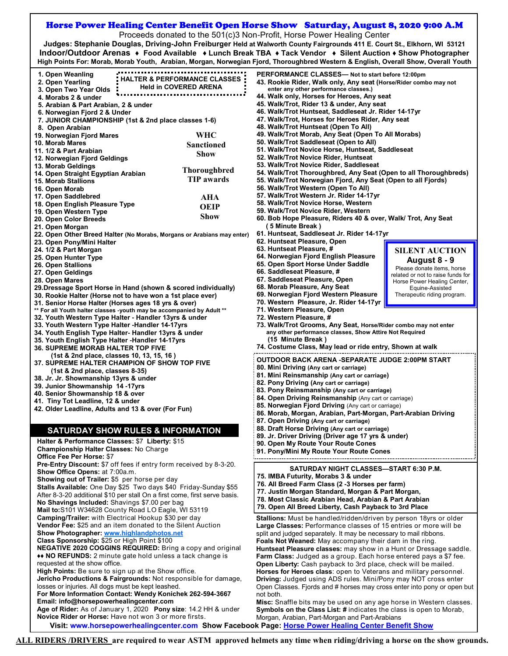## Horse Power Healing Center Benefit Open Horse Show Saturday, August 8, 2020 9:00 A.M

Proceeds donated to the 501(c)3 Non-Profit, Horse Power Healing Center

**Judges: Stephanie Douglas, Driving-John Freiburger Held at Walworth County Fairgrounds 411 E. Court St., Elkhorn, WI 53121 Indoor/Outdoor Arenas ♦ Food Available ♦ Lunch Break TBA ♦ Tack Vendor ♦ Silent Auction ♦ Show Photographer High Points For: Morab, Morab Youth, Arabian, Morgan, Norwegian Fjord, Thoroughbred Western & English, Overall Show, Overall Youth**

| 1. Open Weanling                                                                                             | PERFORMANCE CLASSES- Not to start before 12:00pm                                                                                                     |  |
|--------------------------------------------------------------------------------------------------------------|------------------------------------------------------------------------------------------------------------------------------------------------------|--|
| <b>HALTER &amp; PERFORMANCE CLASSES</b><br>2. Open Yearling                                                  | 43. Rookie Rider, Walk only, Any seat (Horse/Rider combo may not                                                                                     |  |
| <b>Held in COVERED ARENA</b><br>3. Open Two Year Olds                                                        | enter any other performance classes.)                                                                                                                |  |
| 4. Morabs 2 & under                                                                                          | 44. Walk only, Horses for Heroes, Any seat                                                                                                           |  |
|                                                                                                              | 45. Walk/Trot, Rider 13 & under, Any seat                                                                                                            |  |
| 5. Arabian & Part Arabian, 2 & under                                                                         |                                                                                                                                                      |  |
| 6. Norwegian Fjord 2 & Under                                                                                 | 46. Walk/Trot Huntseat, Saddleseat Jr. Rider 14-17yr                                                                                                 |  |
| 7. JUNIOR CHAMPIONSHIP (1st & 2nd place classes 1-6)                                                         | 47. Walk/Trot, Horses for Heroes Rider, Any seat                                                                                                     |  |
| 8. Open Arabian                                                                                              | 48. Walk/Trot Huntseat (Open To All)                                                                                                                 |  |
| WHC<br>19. Norwegian Fjord Mares                                                                             | 49. Walk/Trot Morab, Any Seat (Open To All Morabs)                                                                                                   |  |
| 10. Morab Mares                                                                                              | 50. Walk/Trot Saddleseat (Open to All)                                                                                                               |  |
| <b>Sanctioned</b><br>11. 1/2 & Part Arabian                                                                  | 51. Walk/Trot Novice Horse, Huntseat, Saddleseat                                                                                                     |  |
| <b>Show</b>                                                                                                  | 52. Walk/Trot Novice Rider, Huntseat                                                                                                                 |  |
| 12. Norwegian Fjord Geldings                                                                                 |                                                                                                                                                      |  |
| 13. Morab Geldings<br><b>Thoroughbred</b>                                                                    | 53. Walk/Trot Novice Rider, Saddleseat                                                                                                               |  |
| 14. Open Straight Egyptian Arabian                                                                           | 54. Walk/Trot Thoroughbred, Any Seat (Open to all Thoroughbreds)                                                                                     |  |
| <b>TIP</b> awards<br><b>15. Morab Stallions</b>                                                              | 55. Walk/Trot Norwegian Fjord, Any Seat (Open to all Fjords)                                                                                         |  |
| 16. Open Morab                                                                                               | 56. Walk/Trot Western (Open To All)                                                                                                                  |  |
| 17. Open Saddlebred                                                                                          | 57. Walk/Trot Western Jr. Rider 14-17yr                                                                                                              |  |
| AHA                                                                                                          | 58. Walk/Trot Novice Horse, Western                                                                                                                  |  |
| 18. Open English Pleasure Type<br><b>OEIP</b>                                                                |                                                                                                                                                      |  |
| 19. Open Western Type<br>Show                                                                                | 59. Walk/Trot Novice Rider, Western                                                                                                                  |  |
| 20. Open Color Breeds                                                                                        | 60. Bob Hope Pleasure, Riders 40 & over, Walk/ Trot, Any Seat                                                                                        |  |
| 21. Open Morgan                                                                                              | (5 Minute Break)                                                                                                                                     |  |
| 22. Open Other Breed Halter (No Morabs, Morgans or Arabians may enter)                                       | 61. Huntseat, Saddleseat Jr. Rider 14-17yr                                                                                                           |  |
| 23. Open Pony/Mini Halter                                                                                    | 62. Huntseat Pleasure, Open                                                                                                                          |  |
|                                                                                                              | 63. Huntseat Pleasure, #                                                                                                                             |  |
| 24. 1/2 & Part Morgan                                                                                        | <b>SILENT AUCTION</b>                                                                                                                                |  |
| 25. Open Hunter Type                                                                                         | 64. Norwegian Fjord English Pleasure<br>August 8 - 9                                                                                                 |  |
| 26. Open Stallions                                                                                           | 65. Open Sport Horse Under Saddle<br>Please donate items, horse                                                                                      |  |
| 27. Open Geldings                                                                                            | 66. Saddleseat Pleasure, #<br>related or not to raise funds for                                                                                      |  |
| 28. Open Mares                                                                                               | 67. Saddleseat Pleasure, Open<br>Horse Power Healing Center,                                                                                         |  |
| 29.Dressage Sport Horse in Hand (shown & scored individually)                                                | 68. Morab Pleasure, Any Seat<br>Equine-Assisted                                                                                                      |  |
|                                                                                                              | 69. Norwegian Fjord Western Pleasure<br>Therapeutic riding program.                                                                                  |  |
| 30. Rookie Halter (Horse not to have won a 1st place ever)                                                   | 70. Western Pleasure, Jr. Rider 14-17yr                                                                                                              |  |
| 31. Senior Horse Halter (Horses ages 18 yrs & over)                                                          |                                                                                                                                                      |  |
| ** For all Youth halter classes -youth may be accompanied by Adult **                                        | 71. Western Pleasure, Open                                                                                                                           |  |
| 32. Youth Western Type Halter - Handler 13yrs & under                                                        | 72. Western Pleasure, #                                                                                                                              |  |
| 33. Youth Western Type Halter -Handler 14-17yrs                                                              | 73. Walk/Trot Grooms, Any Seat, Horse/Rider combo may not enter                                                                                      |  |
| 34. Youth English Type Halter- Handler 13yrs & under                                                         | any other performance classes, Show Attire Not Required                                                                                              |  |
| 35. Youth English Type Halter -Handler 14-17yrs                                                              | (15 Minute Break)                                                                                                                                    |  |
| <b>36. SUPREME MORAB HALTER TOP FIVE</b>                                                                     | 74. Costume Class, May lead or ride entry, Shown at walk                                                                                             |  |
|                                                                                                              |                                                                                                                                                      |  |
| (1st & 2nd place, classes 10, 13, 15, 16)                                                                    | OUTDOOR BACK ARENA -SEPARATE JUDGE 2:00PM START                                                                                                      |  |
| 37. SUPREME HALTER CHAMPION OF SHOW TOP FIVE                                                                 | 80. Mini Driving (Any cart or carriage)                                                                                                              |  |
| $(1st & 2nd place, classes 8-35)$                                                                            |                                                                                                                                                      |  |
| 38. Jr. Jr. Showmanship 13yrs & under                                                                        | 81. Mini Reinsmanship (Any cart or carriage)                                                                                                         |  |
| 39. Junior Showmanship  14 -17yrs                                                                            | 82. Pony Driving (Any cart or carriage)                                                                                                              |  |
| 40. Senior Showmanship 18 & over                                                                             | 83. Pony Reinsmanship (Any cart or carriage)                                                                                                         |  |
| 41. Tiny Tot Leadline, 12 & under                                                                            | 84. Open Driving Reinsmanship (Any cart or carriage)                                                                                                 |  |
|                                                                                                              | 85. Norwegian Fjord Driving (Any cart or carriage)                                                                                                   |  |
| 42. Older Leadline, Adults and 13 & over (For Fun)                                                           | 86. Morab, Morgan, Arabian, Part-Morgan, Part-Arabian Driving                                                                                        |  |
|                                                                                                              | 87. Open Driving (Any cart or carriage)                                                                                                              |  |
|                                                                                                              |                                                                                                                                                      |  |
| <b>SATURDAY SHOW RULES &amp; INFORMATION</b>                                                                 | 88. Draft Horse Driving (Any cart or carriage)                                                                                                       |  |
| Halter & Performance Classes: \$7 Liberty: \$15                                                              | 89. Jr. Driver Driving (Driver age 17 yrs & under)                                                                                                   |  |
|                                                                                                              | 90. Open My Route Your Route Cones                                                                                                                   |  |
| <b>Championship Halter Classes: No Charge</b>                                                                | 91. Pony/Mini My Route Your Route Cones                                                                                                              |  |
| <b>Office Fee Per Horse: \$7</b>                                                                             |                                                                                                                                                      |  |
| Pre-Entry Discount: \$7 off fees if entry form received by 8-3-20.<br>SATURDAY NIGHT CLASSES—START 6:30 P.M. |                                                                                                                                                      |  |
| Show Office Opens: at 7:00a.m.                                                                               |                                                                                                                                                      |  |
| Showing out of Trailer: \$5 per horse per day                                                                | 75. IMBA Futurity, Morabs 3 & under                                                                                                                  |  |
| Stalls Available: One Day \$25 Two days \$40 Friday-Sunday \$55                                              | 76. All Breed Farm Class (2 -3 Horses per farm)                                                                                                      |  |
| After 8-3-20 additional \$10 per stall On a first come, first serve basis.                                   | 77. Justin Morgan Standard, Morgan & Part Morgan,                                                                                                    |  |
|                                                                                                              | 78. Most Classic Arabian Head, Arabian & Part Arabian                                                                                                |  |
| No Shavings Included: Shavings \$7.00 per bag                                                                | 79. Open All Breed Liberty, Cash Payback to 3rd Place                                                                                                |  |
| Mail to:S101 W34628 County Road LO Eagle, WI 53119                                                           |                                                                                                                                                      |  |
| Camping/Trailer: with Electrical Hookup \$30 per day                                                         | Stallions: Must be handled/ridden/driven by person 18yrs or older                                                                                    |  |
| <b>Vendor Fee:</b> \$25 and an item donated to the Silent Auction                                            | Large Classes: Performance classes of 15 entries or more will be                                                                                     |  |
| Show Photographer: www.highlandphotos.net                                                                    | split and judged separately. It may be necessary to mail ribbons.                                                                                    |  |
| Class Sponsorship: \$25 or High Point \$100                                                                  | Foals Not Weaned: May accompany their dam in the ring.                                                                                               |  |
| NEGATIVE 2020 COGGINS REQUIRED: Bring a copy and original                                                    | Huntseat Pleasure classes: may show in a Hunt or Dressage saddle.                                                                                    |  |
| ** NO REFUNDS: 2 minute gate hold unless a tack change is                                                    | Farm Class: Judged as a group. Each horse entered pays a \$7 fee.                                                                                    |  |
|                                                                                                              |                                                                                                                                                      |  |
| requested at the show office.                                                                                |                                                                                                                                                      |  |
| High Points: Be sure to sign up at the Show office.                                                          | Open Liberty: Cash payback to 3rd place, check will be mailed.                                                                                       |  |
| Jericho Productions & Fairgrounds: Not responsible for damage,                                               | Horses for Heroes class: open to Veterans and military personnel.                                                                                    |  |
|                                                                                                              | Driving: Judged using ADS rules. Mini/Pony may NOT cross enter                                                                                       |  |
| losses or injuries. All dogs must be kept leashed.                                                           |                                                                                                                                                      |  |
|                                                                                                              | Open Classes. Fjords and # horses may cross enter into pony or open but                                                                              |  |
| For More Information Contact: Wendy Konichek 262-594-3667                                                    | not both.                                                                                                                                            |  |
| Email: info@horsepowerhealingcenter.com                                                                      | Misc: Snaffle bits may be used on any age horse in Western classes.                                                                                  |  |
| Age of Rider: As of January 1, 2020 Pony size: 14.2 HH & under                                               | Symbols on the Class List: # indicates the class is open to Morab,                                                                                   |  |
| Novice Rider or Horse: Have not won 3 or more firsts.                                                        | Morgan, Arabian, Part-Morgan and Part-Arabians<br>Visit: www.horsepowerhealingcenter.com Show Facebook Page: Horse Power Healing Center Benefit Show |  |

**ALL RIDERS /DRIVERS are required to wear ASTM approved helmets any time when riding/driving a horse on the show grounds.**